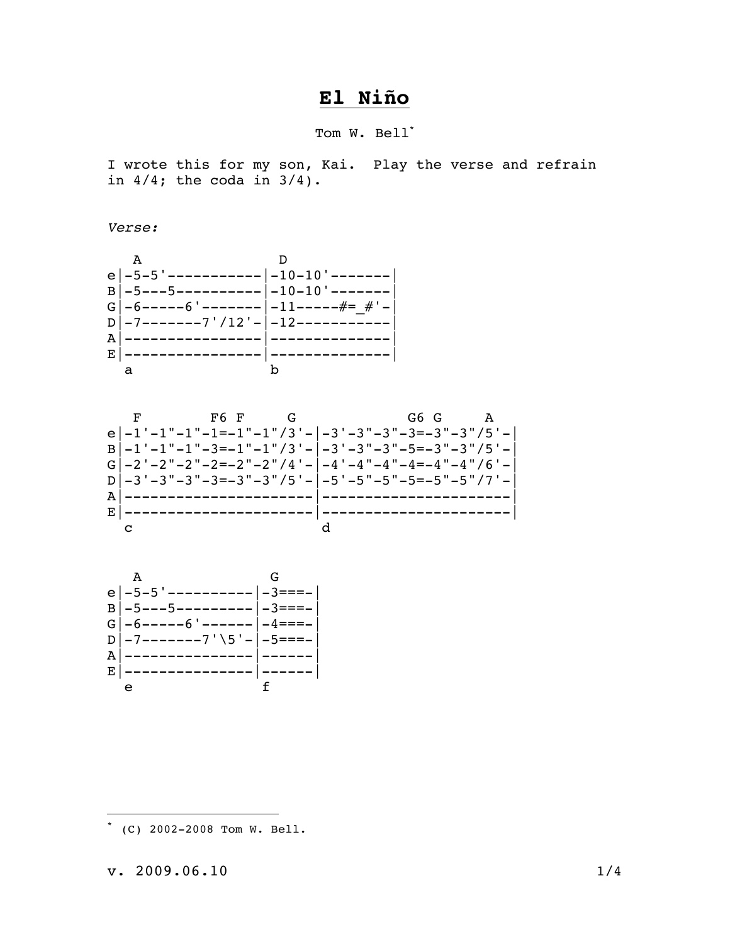## El Niño

Tom W. Bell'

I wrote this for my son, Kai. Play the verse and refrain in  $4/4$ ; the coda in  $3/4$ ).

Verse:







(C) 2002-2008 Tom W. Bell.

 $v. 2009.06.10$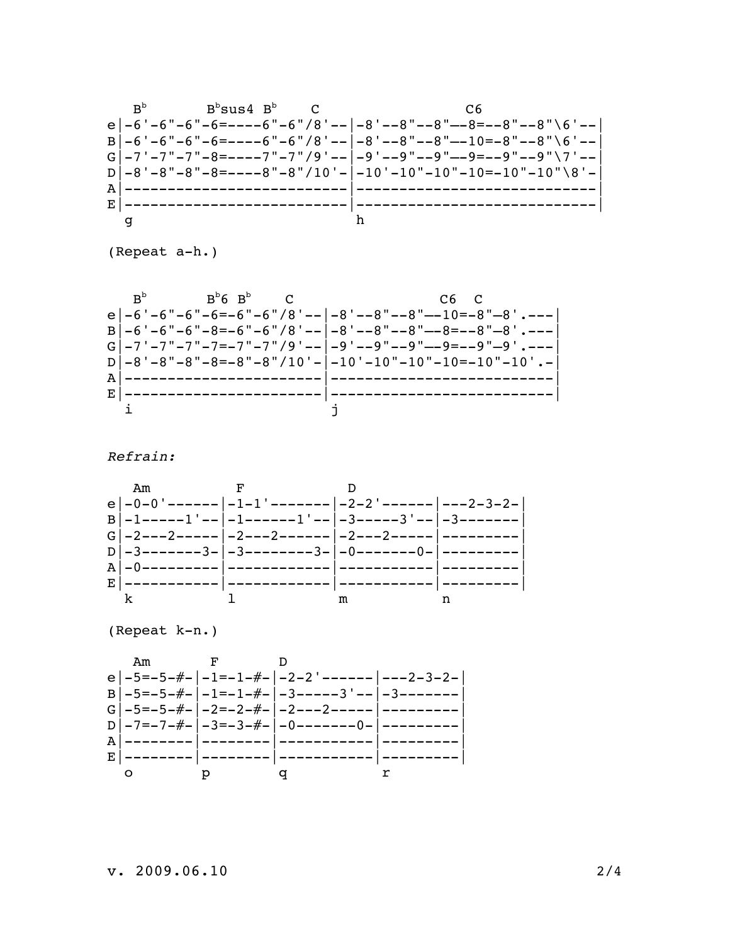

(Repeat a-h.)

Refrain:



(Repeat k-n.)

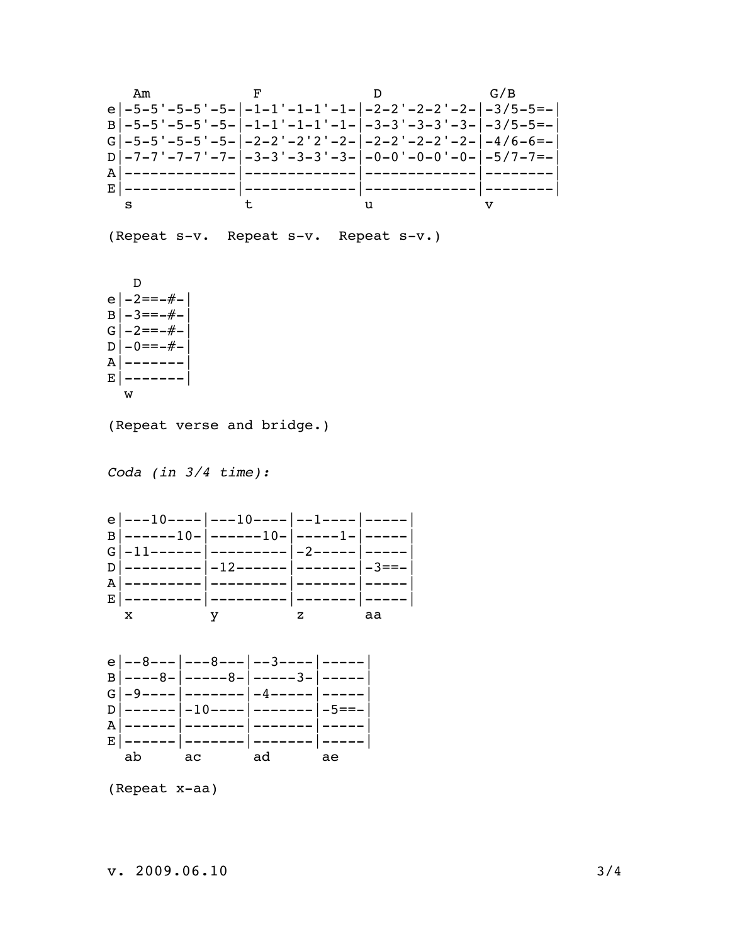

(Repeat x-aa)